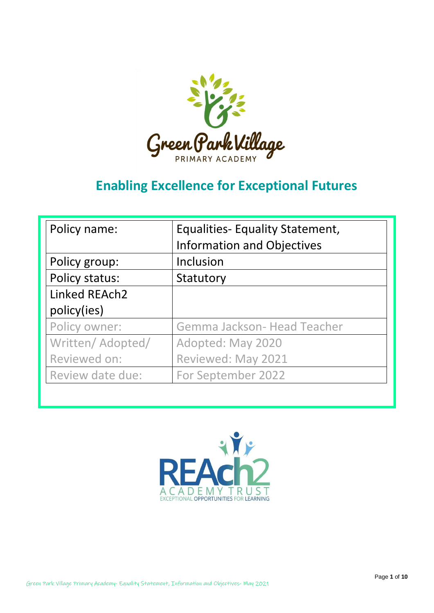

# **Enabling Excellence for Exceptional Futures**

| Policy name:      | <b>Equalities- Equality Statement,</b> |  |
|-------------------|----------------------------------------|--|
|                   | <b>Information and Objectives</b>      |  |
| Policy group:     | Inclusion                              |  |
| Policy status:    | Statutory                              |  |
| Linked REAch2     |                                        |  |
| policy(ies)       |                                        |  |
| Policy owner:     | Gemma Jackson- Head Teacher            |  |
| Written/ Adopted/ | Adopted: May 2020                      |  |
| Reviewed on:      | Reviewed: May 2021                     |  |
| Review date due:  | For September 2022                     |  |

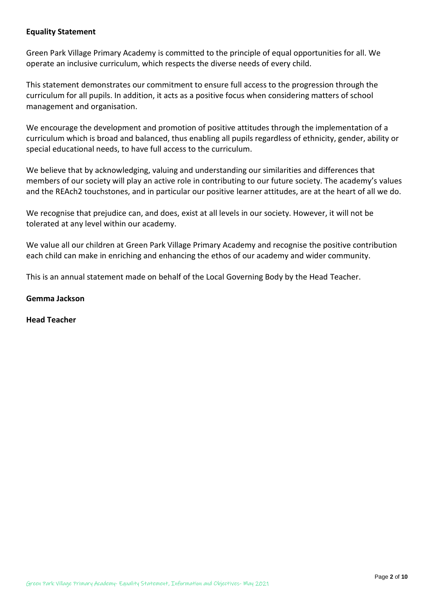# **Equality Statement**

Green Park Village Primary Academy is committed to the principle of equal opportunities for all. We operate an inclusive curriculum, which respects the diverse needs of every child.

This statement demonstrates our commitment to ensure full access to the progression through the curriculum for all pupils. In addition, it acts as a positive focus when considering matters of school management and organisation.

We encourage the development and promotion of positive attitudes through the implementation of a curriculum which is broad and balanced, thus enabling all pupils regardless of ethnicity, gender, ability or special educational needs, to have full access to the curriculum.

We believe that by acknowledging, valuing and understanding our similarities and differences that members of our society will play an active role in contributing to our future society. The academy's values and the REAch2 touchstones, and in particular our positive learner attitudes, are at the heart of all we do.

We recognise that prejudice can, and does, exist at all levels in our society. However, it will not be tolerated at any level within our academy.

We value all our children at Green Park Village Primary Academy and recognise the positive contribution each child can make in enriching and enhancing the ethos of our academy and wider community.

This is an annual statement made on behalf of the Local Governing Body by the Head Teacher.

#### **Gemma Jackson**

**Head Teacher**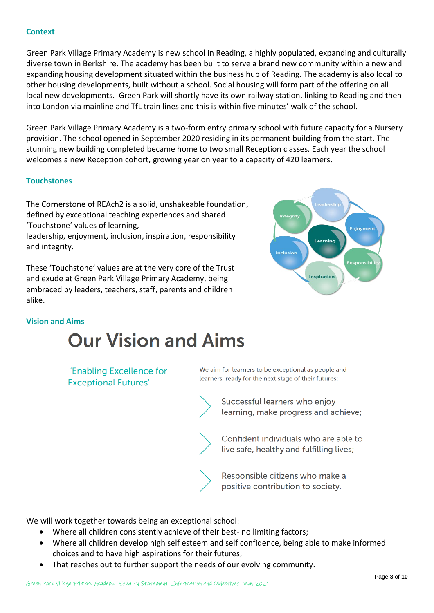# **Context**

Green Park Village Primary Academy is new school in Reading, a highly populated, expanding and culturally diverse town in Berkshire. The academy has been built to serve a brand new community within a new and expanding housing development situated within the business hub of Reading. The academy is also local to other housing developments, built without a school. Social housing will form part of the offering on all local new developments. Green Park will shortly have its own railway station, linking to Reading and then into London via mainline and TfL train lines and this is within five minutes' walk of the school.

Green Park Village Primary Academy is a two-form entry primary school with future capacity for a Nursery provision. The school opened in September 2020 residing in its permanent building from the start. The stunning new building completed became home to two small Reception classes. Each year the school welcomes a new Reception cohort, growing year on year to a capacity of 420 learners.

#### **Touchstones**

The Cornerstone of REAch2 is a solid, unshakeable foundation, defined by exceptional teaching experiences and shared 'Touchstone' values of learning,

leadership, enjoyment, inclusion, inspiration, responsibility and integrity.

These 'Touchstone' values are at the very core of the Trust and exude at Green Park Village Primary Academy, being embraced by leaders, teachers, staff, parents and children alike.



#### **Vision and Aims**

# **Our Vision and Aims**

'Enabling Excellence for **Exceptional Futures'** 

We aim for learners to be exceptional as people and learners, ready for the next stage of their futures:

> Successful learners who enjoy learning, make progress and achieve;

> Confident individuals who are able to live safe, healthy and fulfilling lives;

Responsible citizens who make a positive contribution to society.

We will work together towards being an exceptional school:

- Where all children consistently achieve of their best- no limiting factors;
- Where all children develop high self esteem and self confidence, being able to make informed choices and to have high aspirations for their futures;
- That reaches out to further support the needs of our evolving community.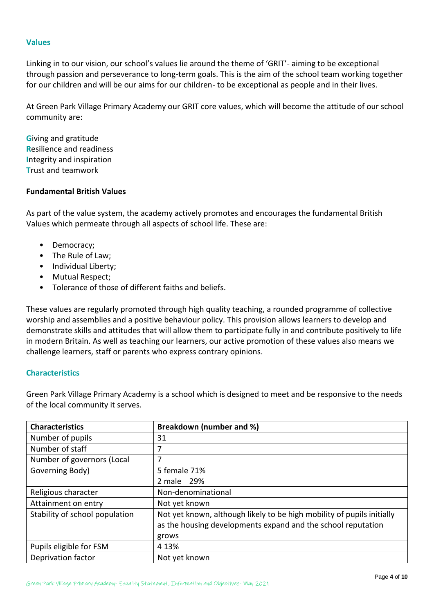#### **Values**

Linking in to our vision, our school's values lie around the theme of 'GRIT'- aiming to be exceptional through passion and perseverance to long-term goals. This is the aim of the school team working together for our children and will be our aims for our children- to be exceptional as people and in their lives.

At Green Park Village Primary Academy our GRIT core values, which will become the attitude of our school community are:

**G**iving and gratitude **R**esilience and readiness **I**ntegrity and inspiration **T**rust and teamwork

# **Fundamental British Values**

As part of the value system, the academy actively promotes and encourages the fundamental British Values which permeate through all aspects of school life. These are:

- Democracy;
- The Rule of Law;
- Individual Liberty;
- Mutual Respect;
- Tolerance of those of different faiths and beliefs.

These values are regularly promoted through high quality teaching, a rounded programme of collective worship and assemblies and a positive behaviour policy. This provision allows learners to develop and demonstrate skills and attitudes that will allow them to participate fully in and contribute positively to life in modern Britain. As well as teaching our learners, our active promotion of these values also means we challenge learners, staff or parents who express contrary opinions.

#### **Characteristics**

Green Park Village Primary Academy is a school which is designed to meet and be responsive to the needs of the local community it serves.

| <b>Characteristics</b>         | Breakdown (number and %)                                               |  |  |
|--------------------------------|------------------------------------------------------------------------|--|--|
| Number of pupils               | 31                                                                     |  |  |
| Number of staff                |                                                                        |  |  |
| Number of governors (Local     | 7                                                                      |  |  |
| Governing Body)                | 5 female 71%                                                           |  |  |
|                                | 2 male 29%                                                             |  |  |
| Religious character            | Non-denominational                                                     |  |  |
| Attainment on entry            | Not yet known                                                          |  |  |
| Stability of school population | Not yet known, although likely to be high mobility of pupils initially |  |  |
|                                | as the housing developments expand and the school reputation           |  |  |
|                                | grows                                                                  |  |  |
| Pupils eligible for FSM        | 4 1 3%                                                                 |  |  |
| Deprivation factor             | Not yet known                                                          |  |  |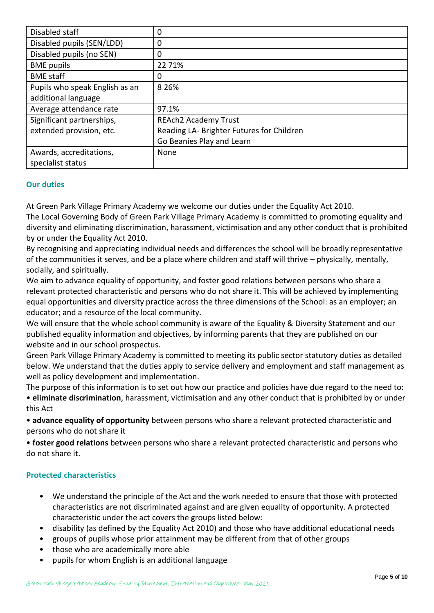| Disabled staff                 | 0                                         |  |
|--------------------------------|-------------------------------------------|--|
| Disabled pupils (SEN/LDD)      | 0                                         |  |
| Disabled pupils (no SEN)       | 0                                         |  |
| <b>BME</b> pupils              | 22 7 1%                                   |  |
| <b>BME</b> staff               | 0                                         |  |
| Pupils who speak English as an | 8 2 6 %                                   |  |
| additional language            |                                           |  |
| Average attendance rate        | 97.1%                                     |  |
| Significant partnerships,      | <b>REAch2 Academy Trust</b>               |  |
| extended provision, etc.       | Reading LA- Brighter Futures for Children |  |
|                                | Go Beanies Play and Learn                 |  |
| Awards, accreditations,        | None                                      |  |
| specialist status              |                                           |  |

# **Our duties**

At Green Park Village Primary Academy we welcome our duties under the Equality Act 2010. The Local Governing Body of Green Park Village Primary Academy is committed to promoting equality and diversity and eliminating discrimination, harassment, victimisation and any other conduct that is prohibited by or under the Equality Act 2010.

By recognising and appreciating individual needs and differences the school will be broadly representative of the communities it serves, and be a place where children and staff will thrive – physically, mentally, socially, and spiritually.

We aim to advance equality of opportunity, and foster good relations between persons who share a relevant protected characteristic and persons who do not share it. This will be achieved by implementing equal opportunities and diversity practice across the three dimensions of the School: as an employer; an educator; and a resource of the local community.

We will ensure that the whole school community is aware of the Equality & Diversity Statement and our published equality information and objectives, by informing parents that they are published on our website and in our school prospectus.

Green Park Village Primary Academy is committed to meeting its public sector statutory duties as detailed below. We understand that the duties apply to service delivery and employment and staff management as well as policy development and implementation.

The purpose of this information is to set out how our practice and policies have due regard to the need to: • **eliminate discrimination**, harassment, victimisation and any other conduct that is prohibited by or under this Act

• **advance equality of opportunity** between persons who share a relevant protected characteristic and persons who do not share it

• **foster good relations** between persons who share a relevant protected characteristic and persons who do not share it.

# **Protected characteristics**

- We understand the principle of the Act and the work needed to ensure that those with protected characteristics are not discriminated against and are given equality of opportunity. A protected characteristic under the act covers the groups listed below:
- disability (as defined by the Equality Act 2010) and those who have additional educational needs
- groups of pupils whose prior attainment may be different from that of other groups
- those who are academically more able
- pupils for whom English is an additional language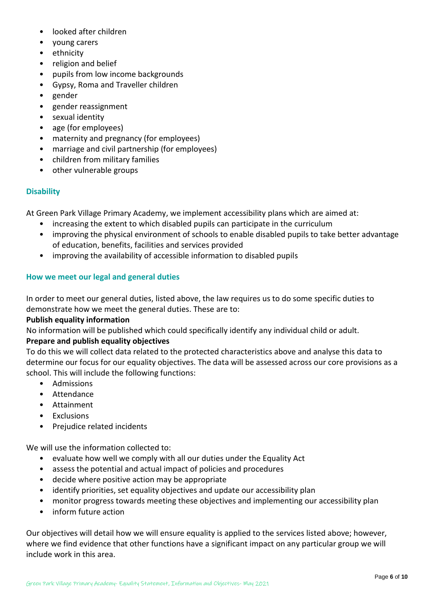- looked after children
- young carers
- ethnicity
- religion and belief
- pupils from low income backgrounds
- Gypsy, Roma and Traveller children
- gender
- gender reassignment
- sexual identity
- age (for employees)
- maternity and pregnancy (for employees)
- marriage and civil partnership (for employees)
- children from military families
- other vulnerable groups

# **Disability**

At Green Park Village Primary Academy, we implement accessibility plans which are aimed at:

- increasing the extent to which disabled pupils can participate in the curriculum
- improving the physical environment of schools to enable disabled pupils to take better advantage of education, benefits, facilities and services provided
- improving the availability of accessible information to disabled pupils

# **How we meet our legal and general duties**

In order to meet our general duties, listed above, the law requires us to do some specific duties to demonstrate how we meet the general duties. These are to:

#### **Publish equality information**

No information will be published which could specifically identify any individual child or adult.

# **Prepare and publish equality objectives**

To do this we will collect data related to the protected characteristics above and analyse this data to determine our focus for our equality objectives. The data will be assessed across our core provisions as a school. This will include the following functions:

- Admissions
- Attendance
- Attainment
- Exclusions
- Prejudice related incidents

We will use the information collected to:

- evaluate how well we comply with all our duties under the Equality Act
- assess the potential and actual impact of policies and procedures
- decide where positive action may be appropriate
- identify priorities, set equality objectives and update our accessibility plan
- monitor progress towards meeting these objectives and implementing our accessibility plan
- inform future action

Our objectives will detail how we will ensure equality is applied to the services listed above; however, where we find evidence that other functions have a significant impact on any particular group we will include work in this area.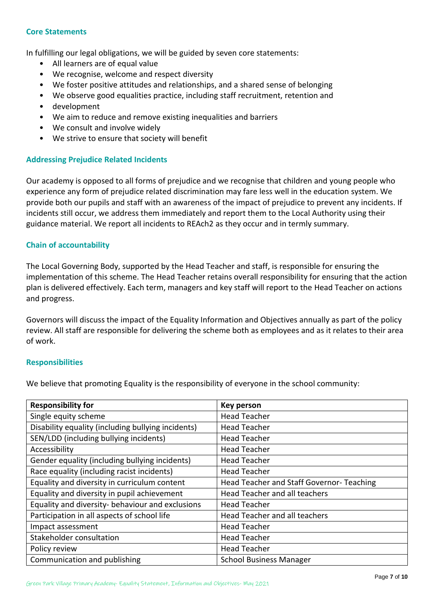#### **Core Statements**

In fulfilling our legal obligations, we will be guided by seven core statements:

- All learners are of equal value
- We recognise, welcome and respect diversity
- We foster positive attitudes and relationships, and a shared sense of belonging
- We observe good equalities practice, including staff recruitment, retention and
- development
- We aim to reduce and remove existing inequalities and barriers
- We consult and involve widely
- We strive to ensure that society will benefit

#### **Addressing Prejudice Related Incidents**

Our academy is opposed to all forms of prejudice and we recognise that children and young people who experience any form of prejudice related discrimination may fare less well in the education system. We provide both our pupils and staff with an awareness of the impact of prejudice to prevent any incidents. If incidents still occur, we address them immediately and report them to the Local Authority using their guidance material. We report all incidents to REAch2 as they occur and in termly summary.

#### **Chain of accountability**

The Local Governing Body, supported by the Head Teacher and staff, is responsible for ensuring the implementation of this scheme. The Head Teacher retains overall responsibility for ensuring that the action plan is delivered effectively. Each term, managers and key staff will report to the Head Teacher on actions and progress.

Governors will discuss the impact of the Equality Information and Objectives annually as part of the policy review. All staff are responsible for delivering the scheme both as employees and as it relates to their area of work.

#### **Responsibilities**

We believe that promoting Equality is the responsibility of everyone in the school community:

| <b>Responsibility for</b>                          | <b>Key person</b>                         |
|----------------------------------------------------|-------------------------------------------|
| Single equity scheme                               | <b>Head Teacher</b>                       |
| Disability equality (including bullying incidents) | <b>Head Teacher</b>                       |
| SEN/LDD (including bullying incidents)             | <b>Head Teacher</b>                       |
| Accessibility                                      | <b>Head Teacher</b>                       |
| Gender equality (including bullying incidents)     | <b>Head Teacher</b>                       |
| Race equality (including racist incidents)         | <b>Head Teacher</b>                       |
| Equality and diversity in curriculum content       | Head Teacher and Staff Governor- Teaching |
| Equality and diversity in pupil achievement        | Head Teacher and all teachers             |
| Equality and diversity- behaviour and exclusions   | <b>Head Teacher</b>                       |
| Participation in all aspects of school life        | Head Teacher and all teachers             |
| Impact assessment                                  | <b>Head Teacher</b>                       |
| Stakeholder consultation                           | <b>Head Teacher</b>                       |
| Policy review                                      | <b>Head Teacher</b>                       |
| Communication and publishing                       | <b>School Business Manager</b>            |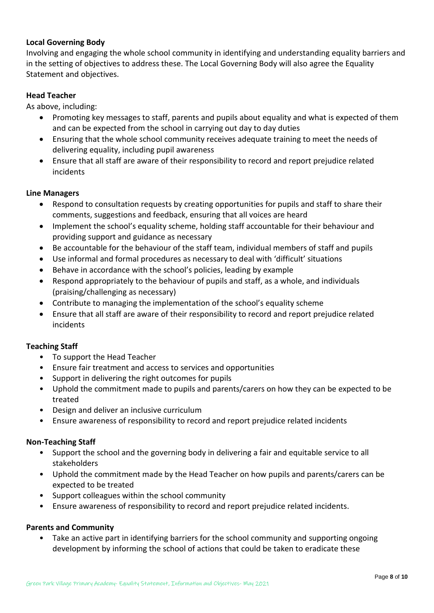# **Local Governing Body**

Involving and engaging the whole school community in identifying and understanding equality barriers and in the setting of objectives to address these. The Local Governing Body will also agree the Equality Statement and objectives.

# **Head Teacher**

As above, including:

- Promoting key messages to staff, parents and pupils about equality and what is expected of them and can be expected from the school in carrying out day to day duties
- Ensuring that the whole school community receives adequate training to meet the needs of delivering equality, including pupil awareness
- Ensure that all staff are aware of their responsibility to record and report prejudice related incidents

# **Line Managers**

- Respond to consultation requests by creating opportunities for pupils and staff to share their comments, suggestions and feedback, ensuring that all voices are heard
- Implement the school's equality scheme, holding staff accountable for their behaviour and providing support and guidance as necessary
- Be accountable for the behaviour of the staff team, individual members of staff and pupils
- Use informal and formal procedures as necessary to deal with 'difficult' situations
- Behave in accordance with the school's policies, leading by example
- Respond appropriately to the behaviour of pupils and staff, as a whole, and individuals (praising/challenging as necessary)
- Contribute to managing the implementation of the school's equality scheme
- Ensure that all staff are aware of their responsibility to record and report prejudice related incidents

# **Teaching Staff**

- To support the Head Teacher
- Ensure fair treatment and access to services and opportunities
- Support in delivering the right outcomes for pupils
- Uphold the commitment made to pupils and parents/carers on how they can be expected to be treated
- Design and deliver an inclusive curriculum
- Ensure awareness of responsibility to record and report prejudice related incidents

# **Non-Teaching Staff**

- Support the school and the governing body in delivering a fair and equitable service to all stakeholders
- Uphold the commitment made by the Head Teacher on how pupils and parents/carers can be expected to be treated
- Support colleagues within the school community
- Ensure awareness of responsibility to record and report prejudice related incidents.

# **Parents and Community**

• Take an active part in identifying barriers for the school community and supporting ongoing development by informing the school of actions that could be taken to eradicate these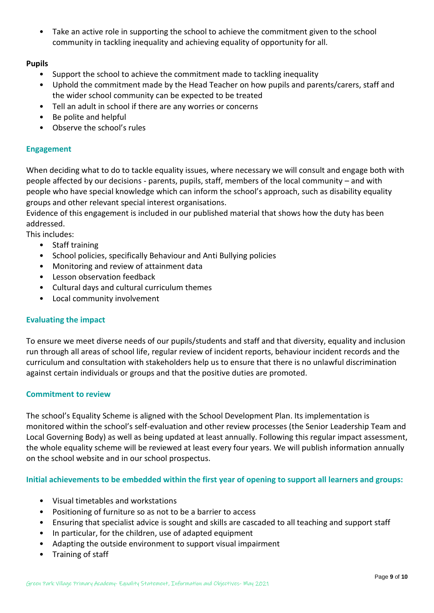• Take an active role in supporting the school to achieve the commitment given to the school community in tackling inequality and achieving equality of opportunity for all.

# **Pupils**

- Support the school to achieve the commitment made to tackling inequality
- Uphold the commitment made by the Head Teacher on how pupils and parents/carers, staff and the wider school community can be expected to be treated
- Tell an adult in school if there are any worries or concerns
- Be polite and helpful
- Observe the school's rules

# **Engagement**

When deciding what to do to tackle equality issues, where necessary we will consult and engage both with people affected by our decisions - parents, pupils, staff, members of the local community – and with people who have special knowledge which can inform the school's approach, such as disability equality groups and other relevant special interest organisations.

Evidence of this engagement is included in our published material that shows how the duty has been addressed.

This includes:

- Staff training
- School policies, specifically Behaviour and Anti Bullying policies
- Monitoring and review of attainment data
- Lesson observation feedback
- Cultural days and cultural curriculum themes
- Local community involvement

# **Evaluating the impact**

To ensure we meet diverse needs of our pupils/students and staff and that diversity, equality and inclusion run through all areas of school life, regular review of incident reports, behaviour incident records and the curriculum and consultation with stakeholders help us to ensure that there is no unlawful discrimination against certain individuals or groups and that the positive duties are promoted.

# **Commitment to review**

The school's Equality Scheme is aligned with the School Development Plan. Its implementation is monitored within the school's self-evaluation and other review processes (the Senior Leadership Team and Local Governing Body) as well as being updated at least annually. Following this regular impact assessment, the whole equality scheme will be reviewed at least every four years. We will publish information annually on the school website and in our school prospectus.

**Initial achievements to be embedded within the first year of opening to support all learners and groups:** 

- Visual timetables and workstations
- Positioning of furniture so as not to be a barrier to access
- Ensuring that specialist advice is sought and skills are cascaded to all teaching and support staff
- In particular, for the children, use of adapted equipment
- Adapting the outside environment to support visual impairment
- Training of staff